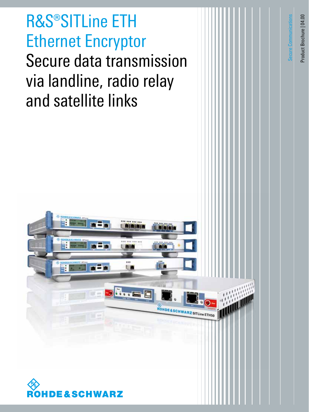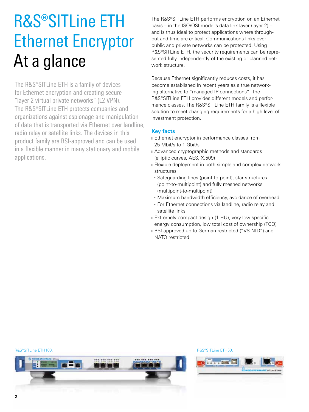## R&S®SITLine ETH Ethernet Encryptor At a glance

The R&S®SITLine ETH is a family of devices for Ethernet encryption and creating secure "layer 2 virtual private networks" (L2 VPN). The R&S®SITLine ETH protects companies and organizations against espionage and manipulation of data that is transported via Ethernet over landline, radio relay or satellite links. The devices in this product family are BSI-approved and can be used in a flexible manner in many stationary and mobile applications.

The R&S®SITLine ETH performs encryption on an Ethernet basis – in the ISO/OSI model's data link layer (layer 2) – and is thus ideal to protect applications where throughput and time are critical. Communications links over public and private networks can be protected. Using R&S®SITLine ETH, the security requirements can be represented fully independently of the existing or planned network structure.

Because Ethernet significantly reduces costs, it has become established in recent years as a true networking alternative to "managed IP connections". The R&S®SITLine ETH provides different models and performance classes. The R&S®SITLine ETH family is a flexible solution to meet changing requirements for a high level of investment protection.

### **Key facts**

- **Ethernet encryptor in performance classes from** 25 Mbit/s to 1 Gbit/s
- **I** Advanced cryptographic methods and standards (elliptic curves, AES, X.509)
- **I** Flexible deployment in both simple and complex network structures
- Safeguarding lines (point-to-point), star structures (point-to-multipoint) and fully meshed networks (multipoint-to-multipoint)
- Maximum bandwidth efficiency, avoidance of overhead
- For Ethernet connections via landline, radio relay and satellite links
- Extremely compact design (1 HU), very low specific energy consumption, low total cost of ownership (TCO)
- **I** BSI-approved up to German restricted ("VS-NfD") and NATO restricted

#### R&S®SITLine ETH100. The state of the state of the state of the state of the state of the state of the state of the state of the state of the state of the state of the state of the state of the state of the state of the sta



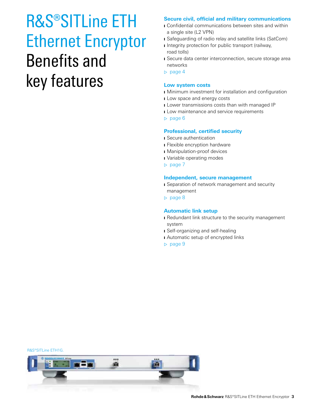### R&S®SITLine ETH Ethernet Encryptor Benefits and key features

### **Secure civil, official and military communications**

- ❙ Confidential communications between sites and within a single site (L2 VPN)
- **I** Safeguarding of radio relay and satellite links (SatCom)
- **I** Integrity protection for public transport (railway, road tolls)
- **■** Secure data center interconnection, secure storage area networks
- ▷ page 4

### **Low system costs**

- **I** Minimum investment for installation and configuration
- **I** Low space and energy costs
- **I** Lower transmissions costs than with managed IP
- **I** Low maintenance and service requirements
- ▷ page 6

### **Professional, certified security**

- **I** Secure authentication
- **■** Flexible encryption hardware
- **Manipulation-proof devices**
- ❙ Variable operating modes
- ▷ page 7

### **Independent, secure management**

- **■** Separation of network management and security management
- ▷ page 8

### **Automatic link setup**

- Redundant link structure to the security management system
- ❙ Self-organizing and self-healing
- **■** Automatic setup of encrypted links
- ▷ page 9

#### R&S®SITLine ETH1G.

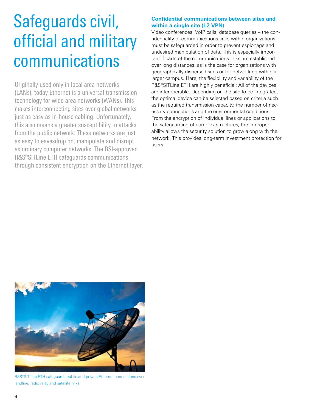### Safeguards civil, official and military communications

Originally used only in local area networks (LANs), today Ethernet is a universal transmission technology for wide area networks (WANs). This makes interconnecting sites over global networks just as easy as in-house cabling. Unfortunately, this also means a greater susceptibility to attacks from the public network: These networks are just as easy to eavesdrop on, manipulate and disrupt as ordinary computer networks. The BSI-approved R&S®SITLine ETH safeguards communications through consistent encryption on the Ethernet layer.

### **Confidential communications between sites and within a single site (L2 VPN)**

Video conferences, VoIP calls, database queries – the confidentiality of communications links within organizations must be safeguarded in order to prevent espionage and undesired manipulation of data. This is especially important if parts of the communications links are established over long distances, as is the case for organizations with geographically dispersed sites or for networking within a larger campus. Here, the flexibility and variability of the R&S®SITLine ETH are highly beneficial: All of the devices are interoperable. Depending on the site to be integrated, the optimal device can be selected based on criteria such as the required transmission capacity, the number of necessary connections and the environmental conditions. From the encryption of individual lines or applications to the safeguarding of complex structures, the interoperability allows the security solution to grow along with the network. This provides long-term investment protection for users.



R&S®SITLine ETH safeguards public and private Ethernet connections over landline, radio relay and satellite links.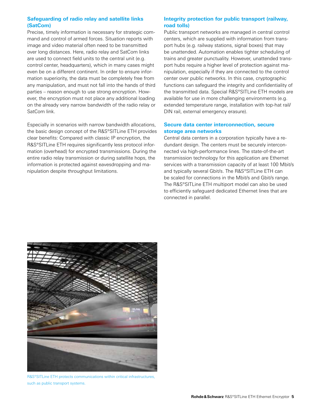### **Safeguarding of radio relay and satellite links (SatCom)**

Precise, timely information is necessary for strategic command and control of armed forces. Situation reports with image and video material often need to be transmitted over long distances. Here, radio relay and SatCom links are used to connect field units to the central unit (e.g. control center, headquarters), which in many cases might even be on a different continent. In order to ensure information superiority, the data must be completely free from any manipulation, and must not fall into the hands of third parties – reason enough to use strong encryption. However, the encryption must not place any additional loading on the already very narrow bandwidth of the radio relay or SatCom link.

Especially in scenarios with narrow bandwidth allocations, the basic design concept of the R&S®SITLine ETH provides clear benefits: Compared with classic IP encryption, the R&S®SITLine ETH requires significantly less protocol information (overhead) for encrypted transmissions. During the entire radio relay transmission or during satellite hops, the information is protected against eavesdropping and manipulation despite throughput limitations.

### **Integrity protection for public transport (railway, road tolls)**

Public transport networks are managed in central control centers, which are supplied with information from transport hubs (e.g. railway stations, signal boxes) that may be unattended. Automation enables tighter scheduling of trains and greater punctuality. However, unattended transport hubs require a higher level of protection against manipulation, especially if they are connected to the control center over public networks. In this case, cryptographic functions can safeguard the integrity and confidentiality of the transmitted data. Special R&S®SITLine ETH models are available for use in more challenging environments (e.g. extended temperature range, installation with top-hat rail/ DIN rail, external emergency erasure).

### **Secure data center interconnection, secure storage area networks**

Central data centers in a corporation typically have a redundant design. The centers must be securely interconnected via high-performance lines. The state-of-the-art transmission technology for this application are Ethernet services with a transmission capacity of at least 100 Mbit/s and typically several Gbit/s. The R&S®SITLine ETH can be scaled for connections in the Mbit/s and Gbit/s range. The R&S®SITLine ETH multiport model can also be used to efficiently safeguard dedicated Ethernet lines that are connected in parallel.



R&S®SITLine ETH protects communications within critical infrastructures, such as public transport systems.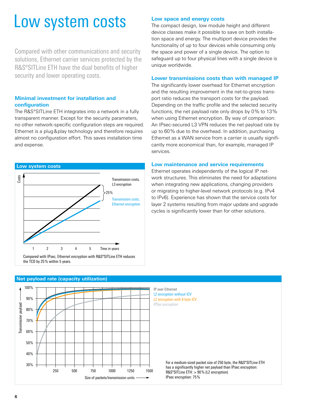### Low system costs

Compared with other communications and security solutions, Ethernet carrier services protected by the R&S®SITLine ETH have the dual benefits of higher security and lower operating costs.

### **Minimal investment for installation and configuration**

The R&S®SITLine ETH integrates into a network in a fully transparent manner. Except for the security parameters, no other network-specific configuration steps are required. Ethernet is a plug&play technology and therefore requires almost no configuration effort. This saves installation time and expense.



### **Low space and energy costs**

The compact design, low module height and different device classes make it possible to save on both installation space and energy. The multiport device provides the functionality of up to four devices while consuming only the space and power of a single device. The option to safeguard up to four physical lines with a single device is unique worldwide.

### **Lower transmissions costs than with managed IP**

The significantly lower overhead for Ethernet encryption and the resulting improvement in the net-to-gross transport ratio reduces the transport costs for the payload. Depending on the traffic profile and the selected security functions, the net payload rate only drops by 0% to 13% when using Ethernet encryption. By way of comparison: An IPsec-secured L3 VPN reduces the net payload rate by up to 60% due to the overhead. In addition, purchasing Ethernet as a WAN service from a carrier is usually significantly more economical than, for example, managed IP services.

#### **Low maintenance and service requirements**

Ethernet operates independently of the logical IP network structures. This eliminates the need for adaptations when integrating new applications, changing providers or migrating to higher-level network protocols (e.g. IPv4 to IPv6). Experience has shown that the service costs for layer 2 systems resulting from major update and upgrade cycles is significantly lower than for other solutions.



### **Net payload rate (capacity utilization)**

IP over Ethernet L2 encryption without ICV L2 encryption with 8 byte ICV IPSec encryption

> For a medium-sized packet size of 250 byte, the R&S®SITLine ETH has a significantly higher net payload than IPsec encryption: R&S®SITLine ETH: > 90% (L2 encryption) IPsec encryption: 75%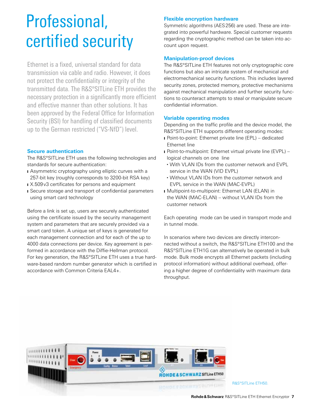### Professional, certified security

Ethernet is a fixed, universal standard for data transmission via cable and radio. However, it does not protect the confidentiality or integrity of the transmitted data. The R&S®SITLine ETH provides the necessary protection in a significantly more efficient and effective manner than other solutions. It has been approved by the Federal Office for Information Security (BSI) for handling of classified documents up to the German restricted ("VS‑NfD") level.

### **Secure authentication**

The R&S®SITLine ETH uses the following technologies and standards for secure authentication:

- **I** Asymmetric cryptography using elliptic curves with a 257-bit key (roughly corresponds to 3200-bit RSA key)
- X.509 v3 certificates for persons and equipment
- ❙ Secure storage and transport of confidential parameters using smart card technology

Before a link is set up, users are securely authenticated using the certificate issued by the security management system and parameters that are securely provided via a smart card token. A unique set of keys is generated for each management connection and for each of the up to 4000 data connections per device. Key agreement is performed in accordance with the Diffie-Hellman protocol. For key generation, the R&S®SITLine ETH uses a true hardware-based random number generator which is certified in accordance with Common Criteria EAL4+.

### **Flexible encryption hardware**

Symmetric algorithms (AES256) are used. These are integrated into powerful hardware. Special customer requests regarding the cryptographic method can be taken into account upon request.

### **Manipulation-proof devices**

The R&S®SITLine ETH features not only cryptographic core functions but also an intricate system of mechanical and electromechanical security functions. This includes layered security zones, protected memory, protective mechanisms against mechanical manipulation and further security functions to counteract attempts to steal or manipulate secure confidential information.

### **Variable operating modes**

Depending on the traffic profile and the device model, the R&S®SITLine ETH supports different operating modes:

- Point-to-point: Ethernet private line (EPL) dedicated Ethernet line
- Point-to-multipoint: Ethernet virtual private line (EVPL) logical channels on one line
- With VLAN IDs from the customer network and EVPL service in the WAN (VID EVPL)
- Without VLAN IDs from the customer network and EVPL service in the WAN (MAC-EVPL)
- **I** Multipoint-to-multipoint: Ethernet LAN (ELAN) in the WAN (MAC-ELAN) – without VLAN IDs from the customer network

Each operating mode can be used in transport mode and in tunnel mode.

In scenarios where two devices are directly interconnected without a switch, the R&S®SITLine ETH100 and the R&S®SITLine ETH1G can alternatively be operated in bulk mode. Bulk mode encrypts all Ethernet packets (including protocol information) without additional overhead, offering a higher degree of confidentiality with maximum data throughput.



R&S®SITLine ETH50.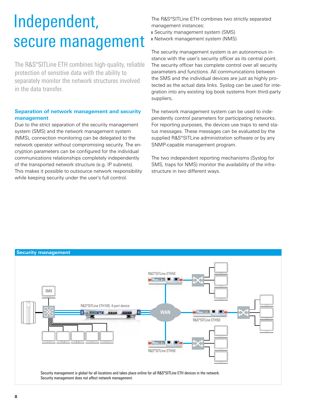### Independent, secure management

The R&S®SITLine ETH combines high-quality, reliable protection of sensitive data with the ability to separately monitor the network structures involved in the data transfer.

### **Separation of network management and security management**

Due to the strict separation of the security management system (SMS) and the network management system (NMS), connection monitoring can be delegated to the network operator without compromising security. The encryption parameters can be configured for the individual communications relationships completely independently of the transported network structure (e.g. IP subnets). This makes it possible to outsource network responsibility while keeping security under the user's full control.

The R&S®SITLine ETH combines two strictly separated management instances: **■** Security management system (SMS)

**■** Network management system (NMS)

The security management system is an autonomous instance with the user's security officer as its central point. The security officer has complete control over all security parameters and functions. All communications between the SMS and the individual devices are just as highly protected as the actual data links. Syslog can be used for integration into any existing log book systems from third-party suppliers,

The network management system can be used to independently control parameters for participating networks. For reporting purposes, the devices use traps to send status messages. These messages can be evaluated by the supplied R&S®SITLine administration software or by any SNMP-capable management program.

The two independent reporting mechanisms (Syslog for SMS, traps for NMS) monitor the availability of the infrastructure in two different ways.

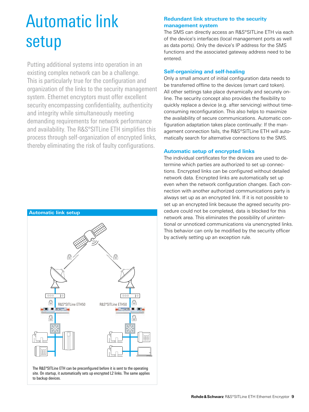### Automatic link setup

Putting additional systems into operation in an existing complex network can be a challenge. This is particularly true for the configuration and organization of the links to the security management system. Ethernet encryptors must offer excellent security encompassing confidentiality, authenticity and integrity while simultaneously meeting demanding requirements for network performance and availability. The R&S®SITLine ETH simplifies this process through self-organization of encrypted links, thereby eliminating the risk of faulty configurations.



The R&S®SITLine ETH can be preconfigured before it is sent to the operating site. On startup, it automatically sets up encrypted L2 links. The same applies to backup devices.

### **Redundant link structure to the security management system**

The SMS can directly access an R&S®SITLine ETH via each of the device's interfaces (local management ports as well as data ports). Only the device's IP address for the SMS functions and the associated gateway address need to be entered.

### **Self-organizing and self-healing**

Only a small amount of initial configuration data needs to be transferred offline to the devices (smart card token). All other settings take place dynamically and securely online. The security concept also provides the flexibility to quickly replace a device (e.g. after servicing) without timeconsuming reconfiguration. This also helps to maximize the availability of secure communications. Automatic configuration adaptation takes place continually: If the management connection fails, the R&S®SITLine ETH will automatically search for alternative connections to the SMS.

### **Automatic setup of encrypted links**

The individual certificates for the devices are used to determine which parties are authorized to set up connections. Encrypted links can be configured without detailed network data. Encrypted links are automatically set up even when the network configuration changes. Each connection with another authorized communications party is always set up as an encrypted link. If it is not possible to set up an encrypted link because the agreed security procedure could not be completed, data is blocked for this network area. This eliminates the possibility of unintentional or unnoticed communications via unencrypted links. This behavior can only be modified by the security officer by actively setting up an exception rule.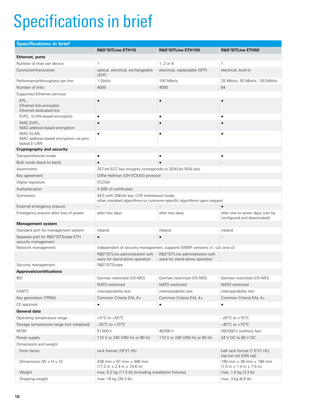# Specifications in brief

| <b>Specifications in brief</b>                                     |                                                                                                                       |                                                                           |                                                                                                         |  |
|--------------------------------------------------------------------|-----------------------------------------------------------------------------------------------------------------------|---------------------------------------------------------------------------|---------------------------------------------------------------------------------------------------------|--|
|                                                                    | <b>R&amp;S®SITLine ETH1G</b>                                                                                          | R&S®SITLine ETH100                                                        | R&S®SITLine ETH50                                                                                       |  |
| Ethernet, ports                                                    |                                                                                                                       |                                                                           |                                                                                                         |  |
| Number of lines per device                                         | $\mathbf{1}$                                                                                                          | 1, 2 or 4                                                                 | $\mathbf{1}$                                                                                            |  |
| Connector/transceiver                                              | optical, electrical, exchangeable<br>(SFP)                                                                            | electrical, replaceable (SFP)                                             | electrical, built-in                                                                                    |  |
| Performance/throughput per line                                    | 1 Gbit/s                                                                                                              | 100 Mbit/s                                                                | 25 Mbit/s, 50 Mbit/s, 100 Mbit/s                                                                        |  |
| Number of links                                                    | 4000                                                                                                                  | 4000                                                                      | 64                                                                                                      |  |
| Supported Ethernet services                                        |                                                                                                                       |                                                                           |                                                                                                         |  |
| EPL,<br>Ethernet link encryptor,<br>Ethernet dedicated line        | $\bullet$                                                                                                             |                                                                           |                                                                                                         |  |
| EVPL, VLAN-based encryption                                        | $\bullet$                                                                                                             | $\bullet$                                                                 | $\bullet$                                                                                               |  |
| MAC-EVPL,<br>MAC-address-based encryption                          | $\bullet$                                                                                                             |                                                                           |                                                                                                         |  |
| MAC-ELAN,<br>MAC-address-based encryption via port-<br>based E-LAN | $\bullet$                                                                                                             |                                                                           |                                                                                                         |  |
| <b>Cryptography and security</b>                                   |                                                                                                                       |                                                                           |                                                                                                         |  |
| Transport/tunnel mode                                              | $\bullet$                                                                                                             | $\bullet$                                                                 | ٠                                                                                                       |  |
| Bulk mode (back-to-back)                                           |                                                                                                                       |                                                                           |                                                                                                         |  |
| Asymmetric                                                         | 257-bit ECC key (roughly corresponds to 3200-bit RSA key)                                                             |                                                                           |                                                                                                         |  |
| Key agreement                                                      | Diffie-Hellman (DH-ECKAS) protocol                                                                                    |                                                                           |                                                                                                         |  |
| Digital signature                                                  | <b>ECDSA</b>                                                                                                          |                                                                           |                                                                                                         |  |
| Authentication                                                     | X.509 v3 certificates                                                                                                 |                                                                           |                                                                                                         |  |
| Symmetric                                                          | AES with 256-bit key, CFB interleaved mode;<br>other standard algorithms or customer-specific algorithms upon request |                                                                           |                                                                                                         |  |
| External emergency erasure                                         |                                                                                                                       |                                                                           |                                                                                                         |  |
| Emergency erasure after loss of power                              | after two days                                                                                                        | after two days                                                            | after one to seven days (can be<br>configured and deactivated)                                          |  |
| <b>Management system</b>                                           |                                                                                                                       |                                                                           |                                                                                                         |  |
| Standard port for management system                                | inband                                                                                                                | inband                                                                    | inband                                                                                                  |  |
| Separate port for R&S®SITScope ETH<br>security management          | $\bullet$                                                                                                             |                                                                           |                                                                                                         |  |
| Network management                                                 |                                                                                                                       | independent of security management, supports SNMP versions v1, v2c and v3 |                                                                                                         |  |
|                                                                    | R&S®SITLine administration soft-<br>ware for stand-alone operation                                                    | R&S®SITLine administration soft-<br>ware for stand-alone operation        |                                                                                                         |  |
| Security management                                                | R&S®SITScope                                                                                                          |                                                                           |                                                                                                         |  |
| <b>Approvals/certifications</b>                                    |                                                                                                                       |                                                                           |                                                                                                         |  |
| <b>BSI</b>                                                         | German restricted (VS-NfD)                                                                                            | German restricted (VS-NfD)                                                | German restricted (VS-NfD)                                                                              |  |
|                                                                    | NATO restricted                                                                                                       | NATO restricted                                                           | NATO restricted                                                                                         |  |
| EANTC                                                              | interoperability test                                                                                                 | interoperability test                                                     | interoperability test                                                                                   |  |
| Key generation (TRNG)                                              | Common Criteria EAL 4+                                                                                                | Common Criteria EAL 4+                                                    | Common Criteria EAL 4+                                                                                  |  |
| CE approval                                                        | $\bullet$                                                                                                             | $\bullet$                                                                 | $\bullet$                                                                                               |  |
| General data                                                       |                                                                                                                       |                                                                           |                                                                                                         |  |
| Operating temperature range                                        | +5 $\degree$ C to +50 $\degree$ C                                                                                     |                                                                           | $-20^{\circ}$ C to +70 $^{\circ}$ C                                                                     |  |
| Storage temperature range (not initialized)                        | $-20^{\circ}$ C to $+70^{\circ}$ C                                                                                    |                                                                           | $-40^{\circ}$ C to +70 $^{\circ}$ C                                                                     |  |
| <b>MTBF</b>                                                        | 51000h                                                                                                                | 49000h                                                                    | 350000 h (without fan)                                                                                  |  |
| Power supply                                                       | 110 V or 240 V/50 Hz or 60 Hz                                                                                         | 110 V or 240 V/50 Hz or 60 Hz                                             | 24 V DC to 60 V DC                                                                                      |  |
| Dimensions and weight                                              |                                                                                                                       |                                                                           |                                                                                                         |  |
| Form factor                                                        | rack format (19")/1 HU                                                                                                |                                                                           | half rack format (7.5")/1 HU,<br>top-hat rail (DIN rail)                                                |  |
| Dimensions ( $W \times H \times D$ )                               | 438 mm $\times$ 61 mm $\times$ 498 mm<br>$(17.2 \text{ in} \times 2.4 \text{ in} \times 19.6 \text{ in})$             |                                                                           | 190 mm $\times$ 36 mm $\times$ 190 mm<br>$(7.5 \text{ in} \times 1.4 \text{ in} \times 7.5 \text{ in})$ |  |
| Weight                                                             | max. 5.2 kg (11.5 lb) (including installation fixtures)                                                               |                                                                           | max. 1.5 kg (3.3 lb)                                                                                    |  |
| Shipping weight                                                    | max. 16 kg (35.3 lb)                                                                                                  |                                                                           | max. 3 kg (6.6 lb)                                                                                      |  |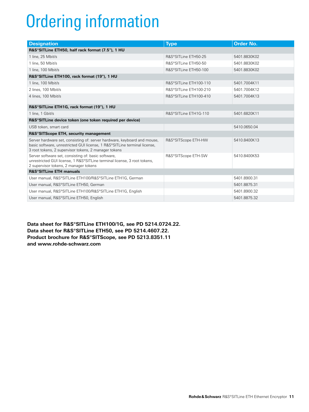# Ordering information

| <b>Designation</b>                                                                                                                                                                                            | <b>Type</b>             | <b>Order No.</b> |  |  |
|---------------------------------------------------------------------------------------------------------------------------------------------------------------------------------------------------------------|-------------------------|------------------|--|--|
| R&S®SITLine ETH50, half rack format (7.5"), 1 HU                                                                                                                                                              |                         |                  |  |  |
| 1 line, 25 Mbit/s                                                                                                                                                                                             | R&S®SITLine ETH50-25    | 5401.8830K02     |  |  |
| 1 line, 50 Mbit/s                                                                                                                                                                                             | R&S®SITLine ETH50-50    | 5401.8830K02     |  |  |
| 1 line, 100 Mbit/s                                                                                                                                                                                            | R&S®SITLine ETH50-100   | 5401.8830K02     |  |  |
| R&S®SITLine ETH100, rack format (19"), 1 HU                                                                                                                                                                   |                         |                  |  |  |
| 1 line, 100 Mbit/s                                                                                                                                                                                            | R&S®SITI ine FTH100-110 | 5401.7004K11     |  |  |
| 2 lines, 100 Mbit/s                                                                                                                                                                                           | R&S®SITLine ETH100-210  | 5401.7004K12     |  |  |
| 4 lines, 100 Mbit/s                                                                                                                                                                                           | R&S®SITLine ETH100-410  | 5401.7004K13     |  |  |
| R&S®SITLine ETH1G, rack format (19"), 1 HU                                                                                                                                                                    |                         |                  |  |  |
| 1 line, 1 Gbit/s                                                                                                                                                                                              | R&S®SITLine ETH1G-110   | 5401.6820K11     |  |  |
| R&S®SITLine device token (one token required per device)                                                                                                                                                      |                         |                  |  |  |
| USB token, smart card                                                                                                                                                                                         |                         | 5410.0650.04     |  |  |
| R&S®SITScope ETH, security management                                                                                                                                                                         |                         |                  |  |  |
| Server hardware set, consisting of: server hardware, keyboard and mouse,<br>basic software, unrestricted GUI license, 1 R&S®SITLine terminal license,<br>3 root tokens, 2 supervisor tokens, 2 manager tokens | R&S®SITScope ETH-HW     | 5410.8400K13     |  |  |
| Server software set, consisting of: basic software,<br>unrestricted GUI license, 1 R&S®SITLine terminal license, 3 root tokens,<br>2 supervisor tokens, 2 manager tokens                                      | R&S®SITScope ETH-SW     | 5410.8400K53     |  |  |
| <b>R&amp;S®SITLine ETH manuals</b>                                                                                                                                                                            |                         |                  |  |  |
| User manual, R&S®SITLine ETH100/R&S®SITLine ETH1G, German                                                                                                                                                     |                         | 5401.8900.31     |  |  |
| User manual, R&S®SITLine ETH50, German                                                                                                                                                                        |                         | 5401.8875.31     |  |  |
| User manual, R&S®SITLine ETH100/R&S®SITLine ETH1G, English                                                                                                                                                    |                         | 5401.8900.32     |  |  |
| User manual, R&S®SITLine ETH50, English                                                                                                                                                                       |                         | 5401.8875.32     |  |  |

**Data sheet for R&S®SITLine ETH100/1G, see PD 5214.0724.22. Data sheet for R&S®SITLine ETH50, see PD 5214.4607.22. Product brochure for R&S®SITScope, see PD 5213.8351.11 and www.rohde-schwarz.com**